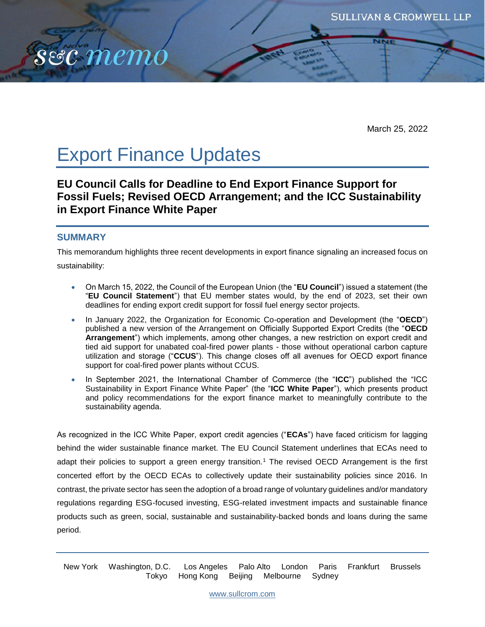

March 25, 2022

# Export Finance Updates

**EU Council Calls for Deadline to End Export Finance Support for Fossil Fuels; Revised OECD Arrangement; and the ICC Sustainability in Export Finance White Paper**

## **SUMMARY**

This memorandum highlights three recent developments in export finance signaling an increased focus on

sustainability:

- On March 15, 2022, the Council of the European Union (the "**EU Council**") issued a statement (the "**EU Council Statement**") that EU member states would, by the end of 2023, set their own deadlines for ending export credit support for fossil fuel energy sector projects.
- In January 2022, the Organization for Economic Co-operation and Development (the "**OECD**") published a new version of the Arrangement on Officially Supported Export Credits (the "**OECD Arrangement**") which implements, among other changes, a new restriction on export credit and tied aid support for unabated coal-fired power plants - those without operational carbon capture utilization and storage ("**CCUS**"). This change closes off all avenues for OECD export finance support for coal-fired power plants without CCUS.
- In September 2021, the International Chamber of Commerce (the "**ICC**") published the "ICC Sustainability in Export Finance White Paper" (the "**ICC White Paper**"), which presents product and policy recommendations for the export finance market to meaningfully contribute to the sustainability agenda.

As recognized in the ICC White Paper, export credit agencies ("**ECAs**") have faced criticism for lagging behind the wider sustainable finance market. The EU Council Statement underlines that ECAs need to adapt their policies to support a green energy transition.<sup>1</sup> The revised OECD Arrangement is the first concerted effort by the OECD ECAs to collectively update their sustainability policies since 2016. In contrast, the private sector has seen the adoption of a broad range of voluntary guidelines and/or mandatory regulations regarding ESG-focused investing, ESG-related investment impacts and sustainable finance products such as green, social, sustainable and sustainability-backed bonds and loans during the same period.

New York Washington, D.C. Los Angeles Palo Alto London Paris Frankfurt Brussels Tokyo Hong Kong Beijing Melbourne Sydney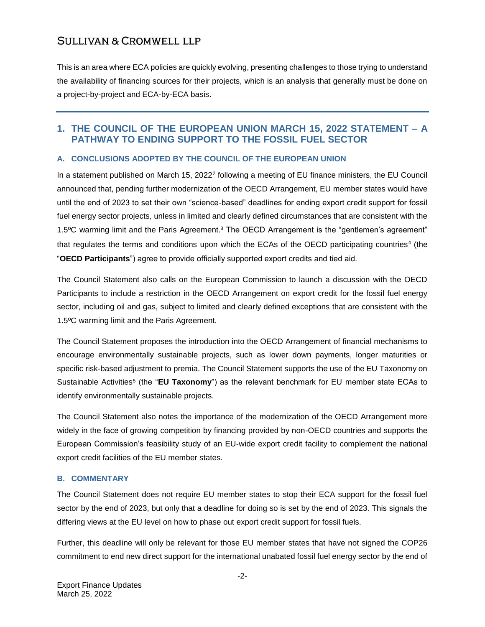This is an area where ECA policies are quickly evolving, presenting challenges to those trying to understand the availability of financing sources for their projects, which is an analysis that generally must be done on a project-by-project and ECA-by-ECA basis.

## **1. THE COUNCIL OF THE EUROPEAN UNION MARCH 15, 2022 STATEMENT – A PATHWAY TO ENDING SUPPORT TO THE FOSSIL FUEL SECTOR**

## **A. CONCLUSIONS ADOPTED BY THE COUNCIL OF THE EUROPEAN UNION**

In a statement published on March 15, 2022<sup>2</sup> following a meeting of EU finance ministers, the EU Council announced that, pending further modernization of the OECD Arrangement, EU member states would have until the end of 2023 to set their own "science-based" deadlines for ending export credit support for fossil fuel energy sector projects, unless in limited and clearly defined circumstances that are consistent with the 1.5°C warming limit and the Paris Agreement.<sup>3</sup> The OECD Arrangement is the "gentlemen's agreement" that regulates the terms and conditions upon which the ECAs of the OECD participating countries<sup>4</sup> (the "**OECD Participants**") agree to provide officially supported export credits and tied aid.

The Council Statement also calls on the European Commission to launch a discussion with the OECD Participants to include a restriction in the OECD Arrangement on export credit for the fossil fuel energy sector, including oil and gas, subject to limited and clearly defined exceptions that are consistent with the 1.5ºC warming limit and the Paris Agreement.

The Council Statement proposes the introduction into the OECD Arrangement of financial mechanisms to encourage environmentally sustainable projects, such as lower down payments, longer maturities or specific risk-based adjustment to premia. The Council Statement supports the use of the EU Taxonomy on Sustainable Activities<sup>5</sup> (the "EU Taxonomy") as the relevant benchmark for EU member state ECAs to identify environmentally sustainable projects.

The Council Statement also notes the importance of the modernization of the OECD Arrangement more widely in the face of growing competition by financing provided by non-OECD countries and supports the European Commission's feasibility study of an EU-wide export credit facility to complement the national export credit facilities of the EU member states.

#### **B. COMMENTARY**

The Council Statement does not require EU member states to stop their ECA support for the fossil fuel sector by the end of 2023, but only that a deadline for doing so is set by the end of 2023. This signals the differing views at the EU level on how to phase out export credit support for fossil fuels.

Further, this deadline will only be relevant for those EU member states that have not signed the COP26 commitment to end new direct support for the international unabated fossil fuel energy sector by the end of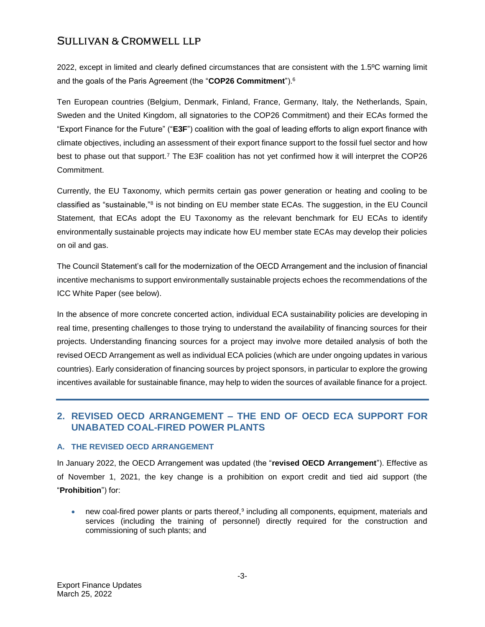2022, except in limited and clearly defined circumstances that are consistent with the 1.5ºC warning limit and the goals of the Paris Agreement (the "**COP26 Commitment**").<sup>6</sup>

Ten European countries (Belgium, Denmark, Finland, France, Germany, Italy, the Netherlands, Spain, Sweden and the United Kingdom, all signatories to the COP26 Commitment) and their ECAs formed the "Export Finance for the Future" ("**E3F**") coalition with the goal of leading efforts to align export finance with climate objectives, including an assessment of their export finance support to the fossil fuel sector and how best to phase out that support.<sup>7</sup> The E3F coalition has not yet confirmed how it will interpret the COP26 Commitment.

Currently, the EU Taxonomy, which permits certain gas power generation or heating and cooling to be classified as "sustainable,"<sup>8</sup> is not binding on EU member state ECAs. The suggestion, in the EU Council Statement, that ECAs adopt the EU Taxonomy as the relevant benchmark for EU ECAs to identify environmentally sustainable projects may indicate how EU member state ECAs may develop their policies on oil and gas.

The Council Statement's call for the modernization of the OECD Arrangement and the inclusion of financial incentive mechanisms to support environmentally sustainable projects echoes the recommendations of the ICC White Paper (see below).

In the absence of more concrete concerted action, individual ECA sustainability policies are developing in real time, presenting challenges to those trying to understand the availability of financing sources for their projects. Understanding financing sources for a project may involve more detailed analysis of both the revised OECD Arrangement as well as individual ECA policies (which are under ongoing updates in various countries). Early consideration of financing sources by project sponsors, in particular to explore the growing incentives available for sustainable finance, may help to widen the sources of available finance for a project.

## **2. REVISED OECD ARRANGEMENT – THE END OF OECD ECA SUPPORT FOR UNABATED COAL-FIRED POWER PLANTS**

#### **A. THE REVISED OECD ARRANGEMENT**

In January 2022, the OECD Arrangement was updated (the "**revised OECD Arrangement**"). Effective as of November 1, 2021, the key change is a prohibition on export credit and tied aid support (the "**Prohibition**") for:

• new coal-fired power plants or parts thereof,<sup>9</sup> including all components, equipment, materials and services (including the training of personnel) directly required for the construction and commissioning of such plants; and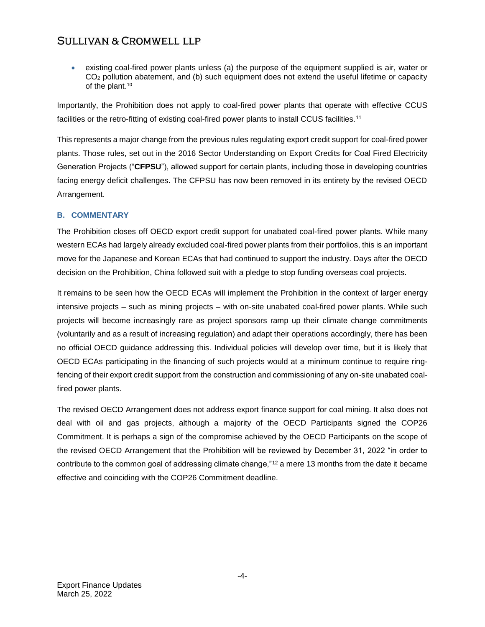existing coal-fired power plants unless (a) the purpose of the equipment supplied is air, water or  $CO<sub>2</sub>$  pollution abatement, and (b) such equipment does not extend the useful lifetime or capacity of the plant.<sup>10</sup>

Importantly, the Prohibition does not apply to coal-fired power plants that operate with effective CCUS facilities or the retro-fitting of existing coal-fired power plants to install CCUS facilities.<sup>11</sup>

This represents a major change from the previous rules regulating export credit support for coal-fired power plants. Those rules, set out in the 2016 Sector Understanding on Export Credits for Coal Fired Electricity Generation Projects ("**CFPSU**"), allowed support for certain plants, including those in developing countries facing energy deficit challenges. The CFPSU has now been removed in its entirety by the revised OECD Arrangement.

## **B. COMMENTARY**

The Prohibition closes off OECD export credit support for unabated coal-fired power plants. While many western ECAs had largely already excluded coal-fired power plants from their portfolios, this is an important move for the Japanese and Korean ECAs that had continued to support the industry. Days after the OECD decision on the Prohibition, China followed suit with a pledge to stop funding overseas coal projects.

It remains to be seen how the OECD ECAs will implement the Prohibition in the context of larger energy intensive projects – such as mining projects – with on-site unabated coal-fired power plants. While such projects will become increasingly rare as project sponsors ramp up their climate change commitments (voluntarily and as a result of increasing regulation) and adapt their operations accordingly, there has been no official OECD guidance addressing this. Individual policies will develop over time, but it is likely that OECD ECAs participating in the financing of such projects would at a minimum continue to require ringfencing of their export credit support from the construction and commissioning of any on-site unabated coalfired power plants.

The revised OECD Arrangement does not address export finance support for coal mining. It also does not deal with oil and gas projects, although a majority of the OECD Participants signed the COP26 Commitment. It is perhaps a sign of the compromise achieved by the OECD Participants on the scope of the revised OECD Arrangement that the Prohibition will be reviewed by December 31, 2022 "in order to contribute to the common goal of addressing climate change,"<sup>12</sup> a mere 13 months from the date it became effective and coinciding with the COP26 Commitment deadline.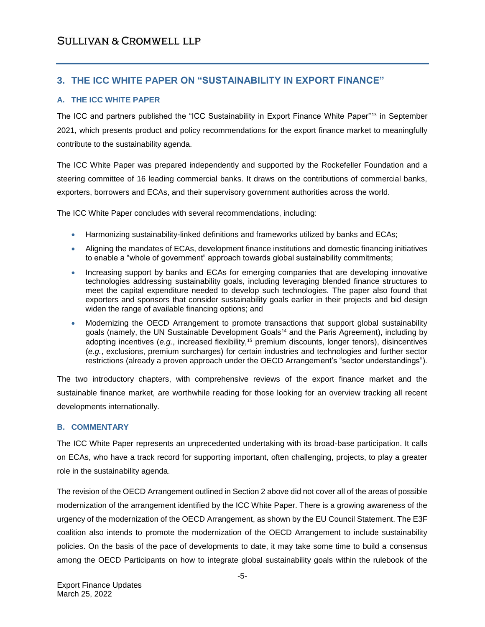## **3. THE ICC WHITE PAPER ON "SUSTAINABILITY IN EXPORT FINANCE"**

## **A. THE ICC WHITE PAPER**

The ICC and partners published the "ICC Sustainability in Export Finance White Paper"<sup>13</sup> in September 2021, which presents product and policy recommendations for the export finance market to meaningfully contribute to the sustainability agenda.

The ICC White Paper was prepared independently and supported by the Rockefeller Foundation and a steering committee of 16 leading commercial banks. It draws on the contributions of commercial banks, exporters, borrowers and ECAs, and their supervisory government authorities across the world.

The ICC White Paper concludes with several recommendations, including:

- Harmonizing sustainability-linked definitions and frameworks utilized by banks and ECAs;
- Aligning the mandates of ECAs, development finance institutions and domestic financing initiatives to enable a "whole of government" approach towards global sustainability commitments;
- Increasing support by banks and ECAs for emerging companies that are developing innovative technologies addressing sustainability goals, including leveraging blended finance structures to meet the capital expenditure needed to develop such technologies. The paper also found that exporters and sponsors that consider sustainability goals earlier in their projects and bid design widen the range of available financing options; and
- Modernizing the OECD Arrangement to promote transactions that support global sustainability goals (namely, the UN Sustainable Development Goals<sup>14</sup> and the Paris Agreement), including by adopting incentives (e.g., increased flexibility,<sup>15</sup> premium discounts, longer tenors), disincentives (*e.g.*, exclusions, premium surcharges) for certain industries and technologies and further sector restrictions (already a proven approach under the OECD Arrangement's "sector understandings").

The two introductory chapters, with comprehensive reviews of the export finance market and the sustainable finance market, are worthwhile reading for those looking for an overview tracking all recent developments internationally.

#### **B. COMMENTARY**

The ICC White Paper represents an unprecedented undertaking with its broad-base participation. It calls on ECAs, who have a track record for supporting important, often challenging, projects, to play a greater role in the sustainability agenda.

The revision of the OECD Arrangement outlined in Section 2 above did not cover all of the areas of possible modernization of the arrangement identified by the ICC White Paper. There is a growing awareness of the urgency of the modernization of the OECD Arrangement, as shown by the EU Council Statement. The E3F coalition also intends to promote the modernization of the OECD Arrangement to include sustainability policies. On the basis of the pace of developments to date, it may take some time to build a consensus among the OECD Participants on how to integrate global sustainability goals within the rulebook of the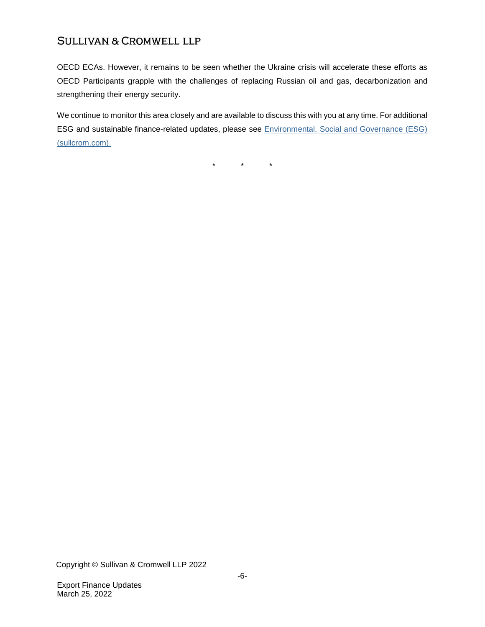OECD ECAs. However, it remains to be seen whether the Ukraine crisis will accelerate these efforts as OECD Participants grapple with the challenges of replacing Russian oil and gas, decarbonization and strengthening their energy security.

We continue to monitor this area closely and are available to discuss this with you at any time. For additional ESG and sustainable finance-related updates, please see [Environmental, Social and Governance \(ESG\)](https://www.sullcrom.com/environmental-social-and-governance)  [\(sullcrom.com\).](https://www.sullcrom.com/environmental-social-and-governance)

 $\star$   $\star$   $\star$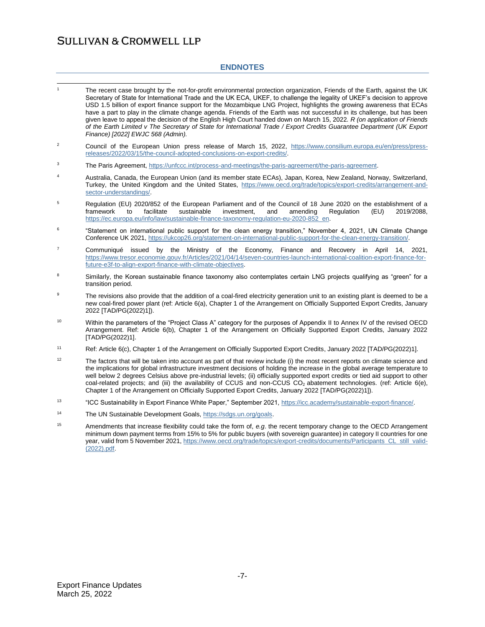#### **ENDNOTES**

| $\mathbf{1}$     | The recent case brought by the not-for-profit environmental protection organization, Friends of the Earth, against the UK<br>Secretary of State for International Trade and the UK ECA, UKEF, to challenge the legality of UKEF's decision to approve<br>USD 1.5 billion of export finance support for the Mozambique LNG Project, highlights the growing awareness that ECAs<br>have a part to play in the climate change agenda. Friends of the Earth was not successful in its challenge, but has been<br>given leave to appeal the decision of the English High Court handed down on March 15, 2022. R (on application of Friends<br>of the Earth Limited v The Secretary of State for International Trade / Export Credits Guarantee Department (UK Export<br>Finance) [2022] EWJC 568 (Admin). |
|------------------|------------------------------------------------------------------------------------------------------------------------------------------------------------------------------------------------------------------------------------------------------------------------------------------------------------------------------------------------------------------------------------------------------------------------------------------------------------------------------------------------------------------------------------------------------------------------------------------------------------------------------------------------------------------------------------------------------------------------------------------------------------------------------------------------------|
| $\boldsymbol{2}$ | Council of the European Union press release of March 15, 2022, https://www.consilium.europa.eu/en/press/press-<br>releases/2022/03/15/the-council-adopted-conclusions-on-export-credits/                                                                                                                                                                                                                                                                                                                                                                                                                                                                                                                                                                                                             |
| 3                | The Paris Agreement, https://unfccc.int/process-and-meetings/the-paris-agreement/the-paris-agreement.                                                                                                                                                                                                                                                                                                                                                                                                                                                                                                                                                                                                                                                                                                |
| 4                | Australia, Canada, the European Union (and its member state ECAs), Japan, Korea, New Zealand, Norway, Switzerland,<br>Turkey, the United Kingdom and the United States, https://www.oecd.org/trade/topics/export-credits/arrangement-and-<br>sector-understandings/.                                                                                                                                                                                                                                                                                                                                                                                                                                                                                                                                 |
| 5                | Regulation (EU) 2020/852 of the European Parliament and of the Council of 18 June 2020 on the establishment of a<br>facilitate<br>sustainable<br>framework<br>to<br>investment,<br>and<br>amending<br>Regulation<br>(EU)<br>2019/2088,<br>https://ec.europa.eu/info/law/sustainable-finance-taxonomy-regulation-eu-2020-852_en.                                                                                                                                                                                                                                                                                                                                                                                                                                                                      |
| 6                | "Statement on international public support for the clean energy transition," November 4, 2021, UN Climate Change<br>Conference UK 2021, https://ukcop26.org/statement-on-international-public-support-for-the-clean-energy-transition/.                                                                                                                                                                                                                                                                                                                                                                                                                                                                                                                                                              |
| $\boldsymbol{7}$ | Communiqué issued by the Ministry of the Economy, Finance and Recovery in April 14, 2021,<br>https://www.tresor.economie.gouv.fr/Articles/2021/04/14/seven-countries-launch-international-coalition-export-finance-for-<br>future-e3f-to-align-export-finance-with-climate-objectives.                                                                                                                                                                                                                                                                                                                                                                                                                                                                                                               |
| 8                | Similarly, the Korean sustainable finance taxonomy also contemplates certain LNG projects qualifying as "green" for a<br>transition period.                                                                                                                                                                                                                                                                                                                                                                                                                                                                                                                                                                                                                                                          |
| 9                | The revisions also provide that the addition of a coal-fired electricity generation unit to an existing plant is deemed to be a<br>new coal-fired power plant (ref: Article 6(a), Chapter 1 of the Arrangement on Officially Supported Export Credits, January<br>2022 [TAD/PG(2022)1]).                                                                                                                                                                                                                                                                                                                                                                                                                                                                                                             |
| 10               | Within the parameters of the "Project Class A" category for the purposes of Appendix II to Annex IV of the revised OECD<br>Arrangement. Ref: Article 6(b), Chapter 1 of the Arrangement on Officially Supported Export Credits, January 2022<br>[TAD/PG(2022)1].                                                                                                                                                                                                                                                                                                                                                                                                                                                                                                                                     |
| 11               | Ref: Article 6(c), Chapter 1 of the Arrangement on Officially Supported Export Credits, January 2022 [TAD/PG(2022)1].                                                                                                                                                                                                                                                                                                                                                                                                                                                                                                                                                                                                                                                                                |
| 12               | The factors that will be taken into account as part of that review include (i) the most recent reports on climate science and<br>the implications for global infrastructure investment decisions of holding the increase in the global average temperature to<br>well below 2 degrees Celsius above pre-industrial levels; (ii) officially supported export credits or tied aid support to other<br>coal-related projects; and (iii) the availability of CCUS and non-CCUS CO <sub>2</sub> abatement technologies. (ref: Article 6(e),<br>Chapter 1 of the Arrangement on Officially Supported Export Credits, January 2022 [TAD/PG(2022)1]).                                                                                                                                                        |
| 13               | "ICC Sustainability in Export Finance White Paper," September 2021, https://icc.academy/sustainable-export-finance/.                                                                                                                                                                                                                                                                                                                                                                                                                                                                                                                                                                                                                                                                                 |
| 14               | The UN Sustainable Development Goals, https://sdgs.un.org/goals.                                                                                                                                                                                                                                                                                                                                                                                                                                                                                                                                                                                                                                                                                                                                     |
| 15               | Amendments that increase flexibility could take the form of, e.g. the recent temporary change to the OECD Arrangement<br>minimum down payment terms from 15% to 5% for public buyers (with sovereign guarantee) in category II countries for one<br>year, valid from 5 November 2021, https://www.oecd.org/trade/topics/export-credits/documents/Participants CL still valid-<br>$(2022)$ .pdf.                                                                                                                                                                                                                                                                                                                                                                                                      |
|                  |                                                                                                                                                                                                                                                                                                                                                                                                                                                                                                                                                                                                                                                                                                                                                                                                      |
|                  |                                                                                                                                                                                                                                                                                                                                                                                                                                                                                                                                                                                                                                                                                                                                                                                                      |
|                  |                                                                                                                                                                                                                                                                                                                                                                                                                                                                                                                                                                                                                                                                                                                                                                                                      |
|                  |                                                                                                                                                                                                                                                                                                                                                                                                                                                                                                                                                                                                                                                                                                                                                                                                      |
|                  |                                                                                                                                                                                                                                                                                                                                                                                                                                                                                                                                                                                                                                                                                                                                                                                                      |
|                  |                                                                                                                                                                                                                                                                                                                                                                                                                                                                                                                                                                                                                                                                                                                                                                                                      |